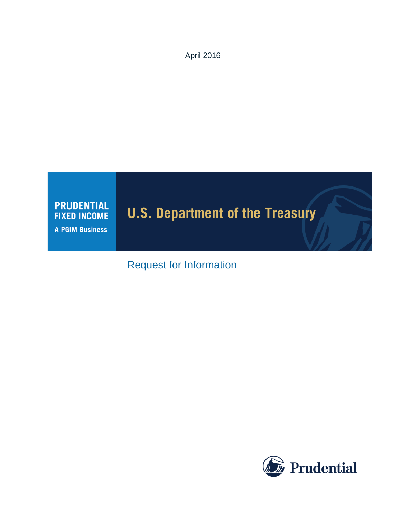April 2016



# Request for Information

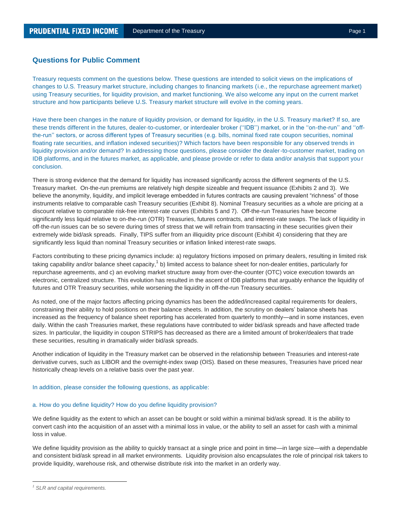# **Questions for Public Comment**

Treasury requests comment on the questions below. These questions are intended to solicit views on the implications of changes to U.S. Treasury market structure, including changes to financing markets (i.e., the repurchase agreement market) using Treasury securities, for liquidity provision, and market functioning. We also welcome any input on the current market structure and how participants believe U.S. Treasury market structure will evolve in the coming years.

Have there been changes in the nature of liquidity provision, or demand for liquidity, in the U.S. Treasury market? If so, are these trends different in the futures, dealer-to-customer, or interdealer broker (''IDB'') market, or in the ''on-the-run'' and ''offthe-run'' sectors, or across different types of Treasury securities (e.g. bills, nominal fixed rate coupon securities, nominal floating rate securities, and inflation indexed securities)? Which factors have been responsible for any observed trends in liquidity provision and/or demand? In addressing those questions, please consider the dealer-to-customer market, trading on IDB platforms, and in the futures market, as applicable, and please provide or refer to data and/or analysis that support you r conclusion.

There is strong evidence that the demand for liquidity has increased significantly across the different segments of the U.S. Treasury market. On-the-run premiums are relatively high despite sizeable and frequent issuance (Exhibits 2 and 3). We believe the anonymity, liquidity, and implicit leverage embedded in futures contracts are causing prevalent "richness" of those instruments relative to comparable cash Treasury securities (Exhibit 8). Nominal Treasury securities as a whole are pricing at a discount relative to comparable risk-free interest-rate curves (Exhibits 5 and 7). Off-the-run Treasuries have become significantly less liquid relative to on-the-run (OTR) Treasuries, futures contracts, and interest-rate swaps. The lack of liquidity in off-the-run issues can be so severe during times of stress that we will refrain from transacting in these securities given their extremely wide bid/ask spreads. Finally, TIPS suffer from an illiquidity price discount (Exhibit 4) considering that they are significantly less liquid than nominal Treasury securities or inflation linked interest-rate swaps.

Factors contributing to these pricing dynamics include: a) regulatory frictions imposed on primary dealers, resulting in limited risk taking capability and/or balance sheet capacity,<sup>1</sup> b) limited access to balance sheet for non-dealer entities, particularly for repurchase agreements, and c) an evolving market structure away from over-the-counter (OTC) voice execution towards an electronic, centralized structure. This evolution has resulted in the ascent of IDB platforms that arguably enhance the liquidity of futures and OTR Treasury securities, while worsening the liquidity in off-the-run Treasury securities.

As noted, one of the major factors affecting pricing dynamics has been the added/increased capital requirements for dealers, constraining their ability to hold positions on their balance sheets. In addition, the scrutiny on dealers' balance sheets has increased as the frequency of balance sheet reporting has accelerated from quarterly to monthly—and in some instances, even daily. Within the cash Treasuries market, these regulations have contributed to wider bid/ask spreads and have affected trade sizes. In particular, the liquidity in coupon STRIPS has decreased as there are a limited amount of broker/dealers that trade these securities, resulting in dramatically wider bid/ask spreads.

Another indication of liquidity in the Treasury market can be observed in the relationship between Treasuries and interest-rate derivative curves, such as LIBOR and the overnight-index swap (OIS). Based on these measures, Treasuries have priced near historically cheap levels on a relative basis over the past year.

#### In addition, please consider the following questions, as applicable:

#### a. How do you define liquidity? How do you define liquidity provision?

We define liquidity as the extent to which an asset can be bought or sold within a minimal bid/ask spread. It is the ability to convert cash into the acquisition of an asset with a minimal loss in value, or the ability to sell an asset for cash with a minimal loss in value.

We define liquidity provision as the ability to quickly transact at a single price and point in time—in large size—with a dependable and consistent bid/ask spread in all market environments. Liquidity provision also encapsulates the role of principal risk takers to provide liquidity, warehouse risk, and otherwise distribute risk into the market in an orderly way.

 $\overline{a}$ 

*<sup>1</sup> SLR and capital requirements.*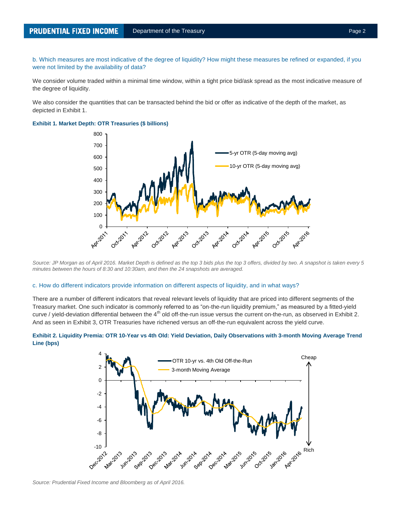b. Which measures are most indicative of the degree of liquidity? How might these measures be refined or expanded, if you were not limited by the availability of data?

We consider volume traded within a minimal time window, within a tight price bid/ask spread as the most indicative measure of the degree of liquidity.

We also consider the quantities that can be transacted behind the bid or offer as indicative of the depth of the market, as depicted in Exhibit 1.



**Exhibit 1. Market Depth: OTR Treasuries (\$ billions)**

*Source: JP Morgan as of April 2016. Market Depth is defined as the top 3 bids plus the top 3 offers, divided by two. A snapshot is taken every 5 minutes between the hours of 8:30 and 10:30am, and then the 24 snapshots are averaged.*

#### c. How do different indicators provide information on different aspects of liquidity, and in what ways?

There are a number of different indicators that reveal relevant levels of liquidity that are priced into different segments of the Treasury market. One such indicator is commonly referred to as "on-the-run liquidity premium," as measured by a fitted-yield curve / yield-deviation differential between the  $4<sup>th</sup>$  old off-the-run issue versus the current on-the-run, as observed in Exhibit 2. And as seen in Exhibit 3, OTR Treasuries have richened versus an off-the-run equivalent across the yield curve.



#### **Exhibit 2. Liquidity Premia: OTR 10-Year vs 4th Old: Yield Deviation, Daily Observations with 3-month Moving Average Trend Line (bps)**

*Source: Prudential Fixed Income and Bloomberg as of April 2016.*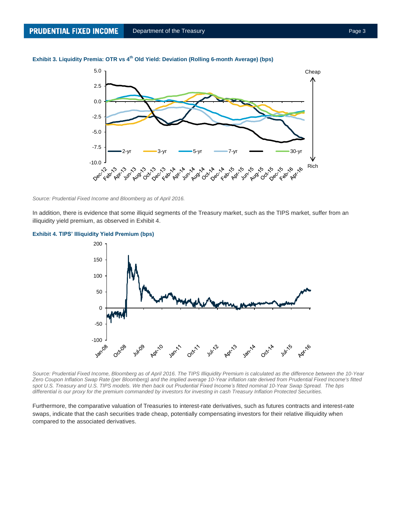

# **Exhibit 3. Liquidity Premia: OTR vs 4 th Old Yield: Deviation (Rolling 6-month Average) (bps)**

#### *Source: Prudential Fixed Income and Bloomberg as of April 2016.*

In addition, there is evidence that some illiquid segments of the Treasury market, such as the TIPS market, suffer from an illiquidity yield premium, as observed in Exhibit 4.



### **Exhibit 4. TIPS' Illiquidity Yield Premium (bps)**

*Source: Prudential Fixed Income, Bloomberg as of April 2016. The TIPS Illiquidity Premium is calculated as the difference between the 10-Year Zero Coupon Inflation Swap Rate (per Bloomberg) and the implied average 10-Year inflation rate derived from Prudential Fixed Income's fitted spot U.S. Treasury and U.S. TIPS models. We then back out Prudential Fixed Income's fitted nominal 10-Year Swap Spread. The bps differential is our proxy for the premium commanded by investors for investing in cash Treasury Inflation Protected Securities.*

Furthermore, the comparative valuation of Treasuries to interest-rate derivatives, such as futures contracts and interest-rate swaps, indicate that the cash securities trade cheap, potentially compensating investors for their relative illiquidity when compared to the associated derivatives.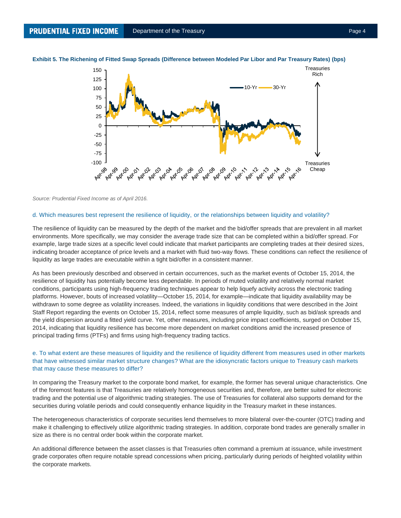

#### **Exhibit 5. The Richening of Fitted Swap Spreads (Difference between Modeled Par Libor and Par Treasury Rates) (bps)**

#### *Source: Prudential Fixed Income as of April 2016.*

#### d. Which measures best represent the resilience of liquidity, or the relationships between liquidity and volatility?

The resilience of liquidity can be measured by the depth of the market and the bid/offer spreads that are prevalent in all market environments. More specifically, we may consider the average trade size that can be completed within a bid/offer spread. For example, large trade sizes at a specific level could indicate that market participants are completing trades at their desired sizes, indicating broader acceptance of price levels and a market with fluid two-way flows. These conditions can reflect the resilience of liquidity as large trades are executable within a tight bid/offer in a consistent manner.

As has been previously described and observed in certain occurrences, such as the market events of October 15, 2014, the resilience of liquidity has potentially become less dependable. In periods of muted volatility and relatively normal market conditions, participants using high-frequency trading techniques appear to help liquefy activity across the electronic trading platforms. However, bouts of increased volatility—October 15, 2014, for example—indicate that liquidity availability may be withdrawn to some degree as volatility increases. Indeed, the variations in liquidity conditions that were described in the Joint Staff Report regarding the events on October 15, 2014, reflect some measures of ample liquidity, such as bid/ask spreads and the yield dispersion around a fitted yield curve. Yet, other measures, including price impact coefficients, surged on October 15, 2014, indicating that liquidity resilience has become more dependent on market conditions amid the increased presence of principal trading firms (PTFs) and firms using high-frequency trading tactics.

# e. To what extent are these measures of liquidity and the resilience of liquidity different from measures used in other markets that have witnessed similar market structure changes? What are the idiosyncratic factors unique to Treasury cash markets that may cause these measures to differ?

In comparing the Treasury market to the corporate bond market, for example, the former has several unique characteristics. One of the foremost features is that Treasuries are relatively homogeneous securities and, therefore, are better suited for electronic trading and the potential use of algorithmic trading strategies. The use of Treasuries for collateral also supports demand for the securities during volatile periods and could consequently enhance liquidity in the Treasury market in these instances.

The heterogeneous characteristics of corporate securities lend themselves to more bilateral over-the-counter (OTC) trading and make it challenging to effectively utilize algorithmic trading strategies. In addition, corporate bond trades are generally smaller in size as there is no central order book within the corporate market.

An additional difference between the asset classes is that Treasuries often command a premium at issuance, while investment grade corporates often require notable spread concessions when pricing, particularly during periods of heighted volatility within the corporate markets.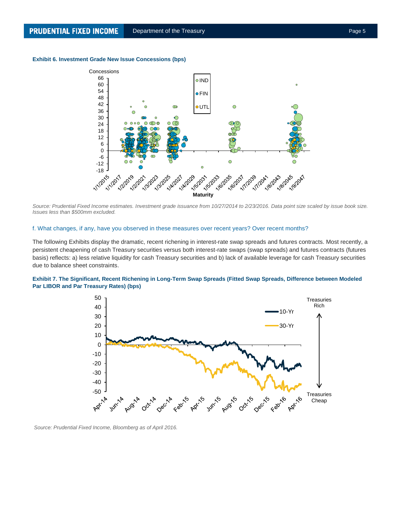## **Exhibit 6. Investment Grade New Issue Concessions (bps)**



*Source: Prudential Fixed Income estimates. Investment grade issuance from 10/27/2014 to 2/23/2016. Data point size scaled by issue book size. Issues less than \$500mm excluded.*

#### f. What changes, if any, have you observed in these measures over recent years? Over recent months?

The following Exhibits display the dramatic, recent richening in interest-rate swap spreads and futures contracts. Most recently, a persistent cheapening of cash Treasury securities versus both interest-rate swaps (swap spreads) and futures contracts (futures basis) reflects: a) less relative liquidity for cash Treasury securities and b) lack of available leverage for cash Treasury securities due to balance sheet constraints.

## **Exhibit 7. The Significant, Recent Richening in Long-Term Swap Spreads (Fitted Swap Spreads, Difference between Modeled Par LIBOR and Par Treasury Rates) (bps)**



*Source: Prudential Fixed Income, Bloomberg as of April 2016.*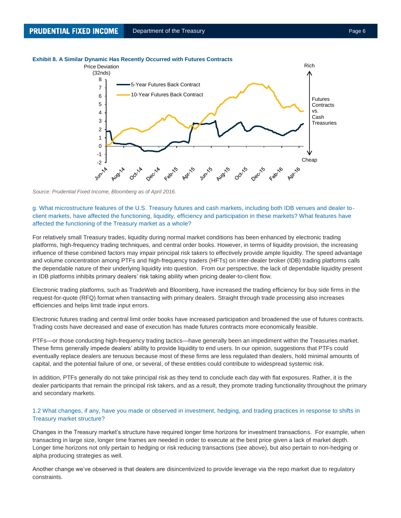#### **Exhibit 8. A Similar Dynamic Has Recently Occurred with Futures Contracts**



*Source: Prudential Fixed Income, Bloomberg as of April 2016.*

g. What microstructure features of the U.S. Treasury futures and cash markets, including both IDB venues and dealer toclient markets, have affected the functioning, liquidity, efficiency and participation in these markets? What features have affected the functioning of the Treasury market as a whole?

For relatively small Treasury trades, liquidity during normal market conditions has been enhanced by electronic trading platforms, high-frequency trading techniques, and central order books. However, in terms of liquidity provision, the increasing influence of these combined factors may impair principal risk takers to effectively provide ample liquidity. The speed advantage and volume concentration among PTFs and high-frequency traders (HFTs) on inter-dealer broker (IDB) trading platforms calls the dependable nature of their underlying liquidity into question. From our perspective, the lack of dependable liquidity present in IDB platforms inhibits primary dealers' risk taking ability when pricing dealer-to-client flow.

Electronic trading platforms, such as TradeWeb and Bloomberg, have increased the trading efficiency for buy side firms in the request-for-quote (RFQ) format when transacting with primary dealers. Straight through trade processing also increases efficiencies and helps limit trade input errors.

Electronic futures trading and central limit order books have increased participation and broadened the use of futures contracts. Trading costs have decreased and ease of execution has made futures contracts more economically feasible.

PTFs—or those conducting high-frequency trading tactics—have generally been an impediment within the Treasuries market. These firms generally impede dealers' ability to provide liquidity to end users. In our opinion, suggestions that PTFs could eventually replace dealers are tenuous because most of these firms are less regulated than dealers, hold minimal amounts of capital, and the potential failure of one, or several, of these entities could contribute to widespread systemic risk.

In addition, PTFs generally do not take principal risk as they tend to conclude each day with flat exposures. Rather, it is the dealer participants that remain the principal risk takers, and as a result, they promote trading functionality throughout the primary and secondary markets.

# 1.2 What changes, if any, have you made or observed in investment, hedging, and trading practices in response to shifts in Treasury market structure?

Changes in the Treasury market's structure have required longer time horizons for investment transactions. For example, when transacting in large size, longer time frames are needed in order to execute at the best price given a lack of market depth. Longer time horizons not only pertain to hedging or risk reducing transactions (see above), but also pertain to non-hedging or alpha producing strategies as well.

Another change we've observed is that dealers are disincentivized to provide leverage via the repo market due to regulatory constraints.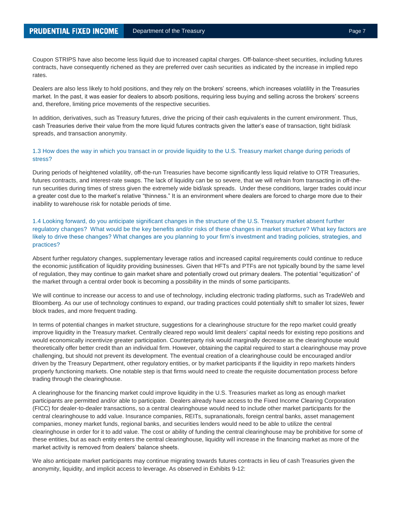Coupon STRIPS have also become less liquid due to increased capital charges. Off-balance-sheet securities, including futures contracts, have consequently richened as they are preferred over cash securities as indicated by the increase in implied repo rates.

Dealers are also less likely to hold positions, and they rely on the brokers' screens, which increases volatility in the Treasuries market. In the past, it was easier for dealers to absorb positions, requiring less buying and selling across the brokers' screens and, therefore, limiting price movements of the respective securities.

In addition, derivatives, such as Treasury futures, drive the pricing of their cash equivalents in the current environment. Thus, cash Treasuries derive their value from the more liquid futures contracts given the latter's ease of transaction, tight bid/ask spreads, and transaction anonymity.

# 1.3 How does the way in which you transact in or provide liquidity to the U.S. Treasury market change during periods of stress?

During periods of heightened volatility, off-the-run Treasuries have become significantly less liquid relative to OTR Treasuries, futures contracts, and interest-rate swaps. The lack of liquidity can be so severe, that we will refrain from transacting in off-therun securities during times of stress given the extremely wide bid/ask spreads. Under these conditions, larger trades could incur a greater cost due to the market's relative "thinness." It is an environment where dealers are forced to charge more due to their inability to warehouse risk for notable periods of time.

1.4 Looking forward, do you anticipate significant changes in the structure of the U.S. Treasury market absent further regulatory changes? What would be the key benefits and/or risks of these changes in market structure? What key factors are likely to drive these changes? What changes are you planning to your firm's investment and trading policies, strategies, and practices?

Absent further regulatory changes, supplementary leverage ratios and increased capital requirements could continue to reduce the economic justification of liquidity providing businesses. Given that HFTs and PTFs are not typically bound by the same level of regulation, they may continue to gain market share and potentially crowd out primary dealers. The potential "equitization" of the market through a central order book is becoming a possibility in the minds of some participants.

We will continue to increase our access to and use of technology, including electronic trading platforms, such as TradeWeb and Bloomberg. As our use of technology continues to expand, our trading practices could potentially shift to smaller lot sizes, fewer block trades, and more frequent trading.

In terms of potential changes in market structure, suggestions for a clearinghouse structure for the repo market could greatly improve liquidity in the Treasury market. Centrally cleared repo would limit dealers' capital needs for existing repo positions and would economically incentivize greater participation. Counterparty risk would marginally decrease as the clearinghouse would theoretically offer better credit than an individual firm. However, obtaining the capital required to start a clearinghouse may prove challenging, but should not prevent its development. The eventual creation of a clearinghouse could be encouraged and/or driven by the Treasury Department, other regulatory entities, or by market participants if the liquidity in repo markets hinders properly functioning markets. One notable step is that firms would need to create the requisite documentation process before trading through the clearinghouse.

A clearinghouse for the financing market could improve liquidity in the U.S. Treasuries market as long as enough market participants are permitted and/or able to participate. Dealers already have access to the Fixed Income Clearing Corporation (FICC) for dealer-to-dealer transactions, so a central clearinghouse would need to include other market participants for the central clearinghouse to add value. Insurance companies, REITs, supranationals, foreign central banks, asset management companies, money market funds, regional banks, and securities lenders would need to be able to utilize the central clearinghouse in order for it to add value. The cost or ability of funding the central clearinghouse may be prohibitive for some of these entities, but as each entity enters the central clearinghouse, liquidity will increase in the financing market as more of the market activity is removed from dealers' balance sheets.

We also anticipate market participants may continue migrating towards futures contracts in lieu of cash Treasuries given the anonymity, liquidity, and implicit access to leverage. As observed in Exhibits 9-12: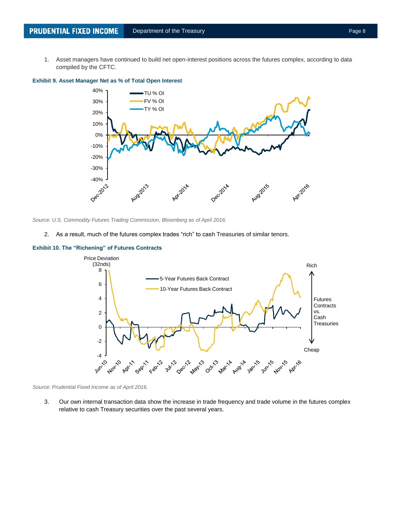1. Asset managers have continued to build net open-interest positions across the futures complex, according to data compiled by the CFTC.



**Exhibit 9. Asset Manager Net as % of Total Open Interest**

*Source: U.S. Commodity Futures Trading Commission, Bloomberg as of April 2016.*

2. As a result, much of the futures complex trades "rich" to cash Treasuries of similar tenors.



# **Exhibit 10. The "Richening" of Futures Contracts**

*Source: Prudential Fixed Income as of April 2016.*

3. Our own internal transaction data show the increase in trade frequency and trade volume in the futures complex relative to cash Treasury securities over the past several years.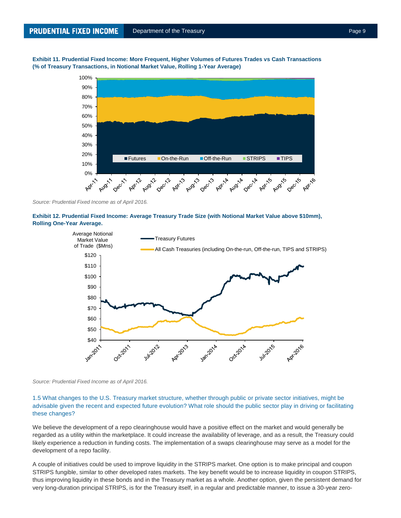**Exhibit 11. Prudential Fixed Income: More Frequent, Higher Volumes of Futures Trades vs Cash Transactions (% of Treasury Transactions, in Notional Market Value, Rolling 1-Year Average)**



*Source: Prudential Fixed Income as of April 2016.*





*Source: Prudential Fixed Income as of April 2016.*

1.5 What changes to the U.S. Treasury market structure, whether through public or private sector initiatives, might be advisable given the recent and expected future evolution? What role should the public sector play in driving or facilitating these changes?

We believe the development of a repo clearinghouse would have a positive effect on the market and would generally be regarded as a utility within the marketplace. It could increase the availability of leverage, and as a result, the Treasury could likely experience a reduction in funding costs. The implementation of a swaps clearinghouse may serve as a model for the development of a repo facility.

A couple of initiatives could be used to improve liquidity in the STRIPS market. One option is to make principal and coupon STRIPS fungible, similar to other developed rates markets. The key benefit would be to increase liquidity in coupon STRIPS, thus improving liquidity in these bonds and in the Treasury market as a whole. Another option, given the persistent demand for very long-duration principal STRIPS, is for the Treasury itself, in a regular and predictable manner, to issue a 30-year zero-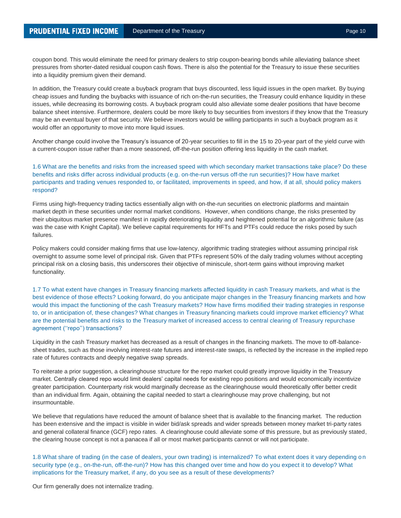coupon bond. This would eliminate the need for primary dealers to strip coupon-bearing bonds while alleviating balance sheet pressures from shorter-dated residual coupon cash flows. There is also the potential for the Treasury to issue these securities into a liquidity premium given their demand.

In addition, the Treasury could create a buyback program that buys discounted, less liquid issues in the open market. By buying cheap issues and funding the buybacks with issuance of rich on-the-run securities, the Treasury could enhance liquidity in these issues, while decreasing its borrowing costs. A buyback program could also alleviate some dealer positions that have become balance sheet intensive. Furthermore, dealers could be more likely to buy securities from investors if they know that the Treasury may be an eventual buyer of that security. We believe investors would be willing participants in such a buyback program as it would offer an opportunity to move into more liquid issues.

Another change could involve the Treasury's issuance of 20-year securities to fill in the 15 to 20-year part of the yield curve with a current-coupon issue rather than a more seasoned, off-the-run position offering less liquidity in the cash market.

# 1.6 What are the benefits and risks from the increased speed with which secondary market transactions take place? Do these benefits and risks differ across individual products (e.g. on-the-run versus off-the run securities)? How have market participants and trading venues responded to, or facilitated, improvements in speed, and how, if at all, should policy makers respond?

Firms using high-frequency trading tactics essentially align with on-the-run securities on electronic platforms and maintain market depth in these securities under normal market conditions. However, when conditions change, the risks presented by their ubiquitous market presence manifest in rapidly deteriorating liquidity and heightened potential for an algorithmic failure (as was the case with Knight Capital). We believe capital requirements for HFTs and PTFs could reduce the risks posed by such failures.

Policy makers could consider making firms that use low-latency, algorithmic trading strategies without assuming principal risk overnight to assume some level of principal risk. Given that PTFs represent 50% of the daily trading volumes without accepting principal risk on a closing basis, this underscores their objective of miniscule, short-term gains without improving market functionality.

1.7 To what extent have changes in Treasury financing markets affected liquidity in cash Treasury markets, and what is the best evidence of those effects? Looking forward, do you anticipate major changes in the Treasury financing markets and how would this impact the functioning of the cash Treasury markets? How have firms modified their trading strategies in response to, or in anticipation of, these changes? What changes in Treasury financing markets could improve market efficiency? What are the potential benefits and risks to the Treasury market of increased access to central clearing of Treasury repurchase agreement ("repo") transactions?

Liquidity in the cash Treasury market has decreased as a result of changes in the financing markets. The move to off-balancesheet trades, such as those involving interest-rate futures and interest-rate swaps, is reflected by the increase in the implied repo rate of futures contracts and deeply negative swap spreads.

To reiterate a prior suggestion, a clearinghouse structure for the repo market could greatly improve liquidity in the Treasury market. Centrally cleared repo would limit dealers' capital needs for existing repo positions and would economically incentivize greater participation. Counterparty risk would marginally decrease as the clearinghouse would theoretically offer better credit than an individual firm. Again, obtaining the capital needed to start a clearinghouse may prove challenging, but not insurmountable.

We believe that regulations have reduced the amount of balance sheet that is available to the financing market. The reduction has been extensive and the impact is visible in wider bid/ask spreads and wider spreads between money market tri-party rates and general collateral finance (GCF) repo rates. A clearinghouse could alleviate some of this pressure, but as previously stated, the clearing house concept is not a panacea if all or most market participants cannot or will not participate.

1.8 What share of trading (in the case of dealers, your own trading) is internalized? To what extent does it vary depending o n security type (e.g., on-the-run, off-the-run)? How has this changed over time and how do you expect it to develop? What implications for the Treasury market, if any, do you see as a result of these developments?

Our firm generally does not internalize trading.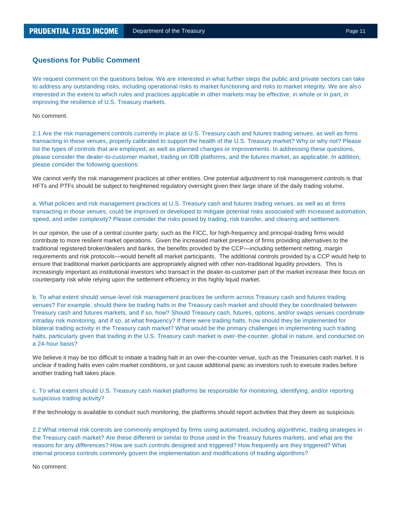# **Questions for Public Comment**

We request comment on the questions below. We are interested in what further steps the public and private sectors can take to address any outstanding risks, including operational risks to market functioning and risks to market integrity. We are also interested in the extent to which rules and practices applicable in other markets may be effective, in whole or in part, in improving the resilience of U.S. Treasury markets.

No comment.

2.1 Are the risk management controls currently in place at U.S. Treasury cash and futures trading venues, as well as firms transacting in those venues, properly calibrated to support the health of the U.S. Treasury market? Why or why not? Please list the types of controls that are employed, as well as planned changes or improvements. In addressing these questions, please consider the dealer-to-customer market, trading on IDB platforms, and the futures market, as applicable. In addition, please consider the following questions:

We cannot verify the risk management practices at other entities. One potential adjustment to risk management controls is that HFTs and PTFs should be subject to heightened regulatory oversight given their large share of the daily trading volume.

a. What policies and risk management practices at U.S. Treasury cash and futures trading venues, as well as at firms transacting in those venues, could be improved or developed to mitigate potential risks associated with increased automation, speed, and order complexity? Please consider the risks posed by trading, risk transfer, and clearing and settlement.

In our opinion, the use of a central counter party, such as the FICC, for high-frequency and principal-trading firms would contribute to more resilient market operations. Given the increased market presence of firms providing alternatives to the traditional registered broker/dealers and banks, the benefits provided by the CCP—including settlement netting, margin requirements and risk protocols—would benefit all market participants. The additional controls provided by a CCP would help to ensure that traditional market participants are appropriately aligned with other non-traditional liquidity providers. This is increasingly important as institutional investors who transact in the dealer-to-customer part of the market increase their focus on counterparty risk while relying upon the settlement efficiency in this highly liquid market.

b. To what extent should venue-level risk management practices be uniform across Treasury cash and futures trading venues? For example, should there be trading halts in the Treasury cash market and should they be coordinated between Treasury cash and futures markets, and if so, how? Should Treasury cash, futures, options, and/or swaps venues coordinate intraday risk monitoring, and if so, at what frequency? If there were trading halts, how should they be implemented for bilateral trading activity in the Treasury cash market? What would be the primary challenges in implementing such trading halts, particularly given that trading in the U.S. Treasury cash market is over-the-counter, global in nature, and conducted on a 24-hour basis?

We believe it may be too difficult to initiate a trading halt in an over-the-counter venue, such as the Treasuries cash market. It is unclear if trading halts even calm market conditions, or just cause additional panic as investors rush to execute trades before another trading halt takes place.

c. To what extent should U.S. Treasury cash market platforms be responsible for monitoring, identifying, and/or reporting suspicious trading activity?

If the technology is available to conduct such monitoring, the platforms should report activities that they deem as suspicious.

2.2 What internal risk controls are commonly employed by firms using automated, including algorithmic, trading strategies in the Treasury cash market? Are these different or similar to those used in the Treasury futures markets, and what are the reasons for any differences? How are such controls designed and triggered? How frequently are they triggered? What internal process controls commonly govern the implementation and modifications of trading algorithms?

No comment.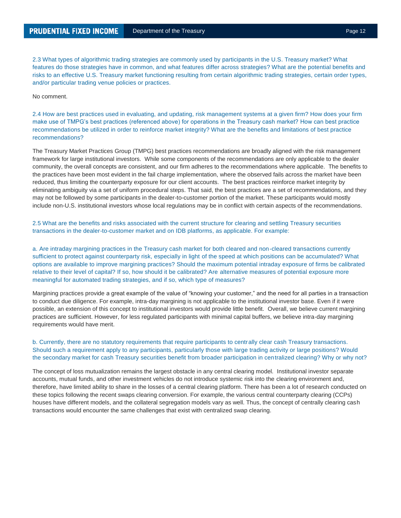2.3 What types of algorithmic trading strategies are commonly used by participants in the U.S. Treasury market? What features do those strategies have in common, and what features differ across strategies? What are the potential benefits and risks to an effective U.S. Treasury market functioning resulting from certain algorithmic trading strategies, certain order types, and/or particular trading venue policies or practices.

No comment.

2.4 How are best practices used in evaluating, and updating, risk management systems at a given firm? How does your firm make use of TMPG's best practices (referenced above) for operations in the Treasury cash market? How can best practice recommendations be utilized in order to reinforce market integrity? What are the benefits and limitations of best practice recommendations?

The Treasury Market Practices Group (TMPG) best practices recommendations are broadly aligned with the risk management framework for large institutional investors. While some components of the recommendations are only applicable to the dealer community, the overall concepts are consistent, and our firm adheres to the recommendations where applicable. The benefits to the practices have been most evident in the fail charge implementation, where the observed fails across the market have been reduced, thus limiting the counterparty exposure for our client accounts. The best practices reinforce market integrity by eliminating ambiguity via a set of uniform procedural steps. That said, the best practices are a set of recommendations, and they may not be followed by some participants in the dealer-to-customer portion of the market. These participants would mostly include non-U.S. institutional investors whose local regulations may be in conflict with certain aspects of the recommendations.

2.5 What are the benefits and risks associated with the current structure for clearing and settling Treasury securities transactions in the dealer-to-customer market and on IDB platforms, as applicable. For example:

a. Are intraday margining practices in the Treasury cash market for both cleared and non-cleared transactions currently sufficient to protect against counterparty risk, especially in light of the speed at which positions can be accumulated? What options are available to improve margining practices? Should the maximum potential intraday exposure of firms be calibrated relative to their level of capital? If so, how should it be calibrated? Are alternative measures of potential exposure more meaningful for automated trading strategies, and if so, which type of measures?

Margining practices provide a great example of the value of "knowing your customer," and the need for all parties in a transaction to conduct due diligence. For example, intra-day margining is not applicable to the institutional investor base. Even if it were possible, an extension of this concept to institutional investors would provide little benefit. Overall, we believe current margining practices are sufficient. However, for less regulated participants with minimal capital buffers, we believe intra-day margining requirements would have merit.

# b. Currently, there are no statutory requirements that require participants to centrally clear cash Treasury transactions. Should such a requirement apply to any participants, particularly those with large trading activity or large positions? Would the secondary market for cash Treasury securities benefit from broader participation in centralized clearing? Why or why not?

The concept of loss mutualization remains the largest obstacle in any central clearing model. Institutional investor separate accounts, mutual funds, and other investment vehicles do not introduce systemic risk into the clearing environment and, therefore, have limited ability to share in the losses of a central clearing platform. There has been a lot of research conducted on these topics following the recent swaps clearing conversion. For example, the various central counterparty clearing (CCPs) houses have different models, and the collateral segregation models vary as well. Thus, the concept of centrally clearing cash transactions would encounter the same challenges that exist with centralized swap clearing.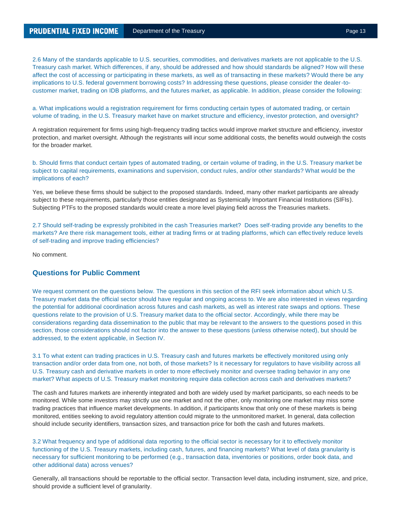2.6 Many of the standards applicable to U.S. securities, commodities, and derivatives markets are not applicable to the U.S. Treasury cash market. Which differences, if any, should be addressed and how should standards be aligned? How will these affect the cost of accessing or participating in these markets, as well as of transacting in these markets? Would there be any implications to U.S. federal government borrowing costs? In addressing these questions, please consider the dealer-tocustomer market, trading on IDB platforms, and the futures market, as applicable. In addition, please consider the following:

a. What implications would a registration requirement for firms conducting certain types of automated trading, or certain volume of trading, in the U.S. Treasury market have on market structure and efficiency, investor protection, and oversight?

A registration requirement for firms using high-frequency trading tactics would improve market structure and efficiency, investor protection, and market oversight. Although the registrants will incur some additional costs, the benefits would outweigh the costs for the broader market.

b. Should firms that conduct certain types of automated trading, or certain volume of trading, in the U.S. Treasury market be subject to capital requirements, examinations and supervision, conduct rules, and/or other standards? What would be the implications of each?

Yes, we believe these firms should be subject to the proposed standards. Indeed, many other market participants are already subject to these requirements, particularly those entities designated as Systemically Important Financial Institutions (SIFIs). Subjecting PTFs to the proposed standards would create a more level playing field across the Treasuries markets.

2.7 Should self-trading be expressly prohibited in the cash Treasuries market? Does self-trading provide any benefits to the markets? Are there risk management tools, either at trading firms or at trading platforms, which can effec tively reduce levels of self-trading and improve trading efficiencies?

No comment.

# **Questions for Public Comment**

We request comment on the questions below. The questions in this section of the RFI seek information about which U.S. Treasury market data the official sector should have regular and ongoing access to. We are also interested in views regarding the potential for additional coordination across futures and cash markets, as well as interest rate swaps and options. These questions relate to the provision of U.S. Treasury market data to the official sector. Accordingly, while there may be considerations regarding data dissemination to the public that may be relevant to the answers to the questions posed in this section, those considerations should not factor into the answer to these questions (unless otherwise noted), but should be addressed, to the extent applicable, in Section IV.

3.1 To what extent can trading practices in U.S. Treasury cash and futures markets be effectively monitored using only transaction and/or order data from one, not both, of those markets? Is it necessary for regulators to have visibility across all U.S. Treasury cash and derivative markets in order to more effectively monitor and oversee trading behavior in any one market? What aspects of U.S. Treasury market monitoring require data collection across cash and derivatives markets?

The cash and futures markets are inherently integrated and both are widely used by market participants, so each needs to be monitored. While some investors may strictly use one market and not the other, only monitoring one market may miss some trading practices that influence market developments. In addition, if participants know that only one of these markets is being monitored, entities seeking to avoid regulatory attention could migrate to the unmonitored market. In general, data collection should include security identifiers, transaction sizes, and transaction price for both the cash and futures markets.

3.2 What frequency and type of additional data reporting to the official sector is necessary for it to effectively monitor functioning of the U.S. Treasury markets, including cash, futures, and financing markets? What level of data granularity is necessary for sufficient monitoring to be performed (e.g., transaction data, inventories or positions, order book data, and other additional data) across venues?

Generally, all transactions should be reportable to the official sector. Transaction level data, including instrument, size, and price, should provide a sufficient level of granularity.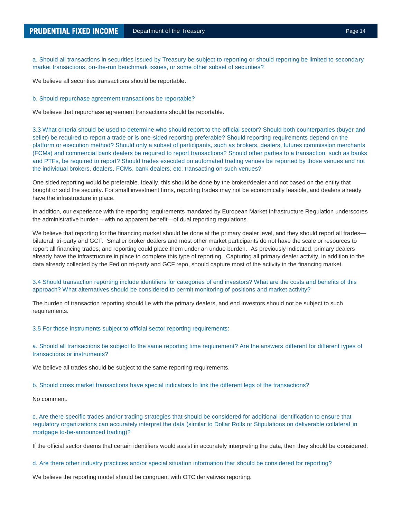a. Should all transactions in securities issued by Treasury be subject to reporting or should reporting be limited to secondary market transactions, on-the-run benchmark issues, or some other subset of securities?

We believe all securities transactions should be reportable.

#### b. Should repurchase agreement transactions be reportable?

We believe that repurchase agreement transactions should be reportable.

3.3 What criteria should be used to determine who should report to the official sector? Should both counterparties (buyer and seller) be required to report a trade or is one-sided reporting preferable? Should reporting requirements depend on the platform or execution method? Should only a subset of participants, such as brokers, dealers, futures commission merchants (FCMs) and commercial bank dealers be required to report transactions? Should other parties to a transaction, such as banks and PTFs, be required to report? Should trades executed on automated trading venues be reported by those venues and not the individual brokers, dealers, FCMs, bank dealers, etc. transacting on such venues?

One sided reporting would be preferable. Ideally, this should be done by the broker/dealer and not based on the entity that bought or sold the security. For small investment firms, reporting trades may not be economically feasible, and dealers already have the infrastructure in place.

In addition, our experience with the reporting requirements mandated by European Market Infrastructure Regulation underscores the administrative burden—with no apparent benefit—of dual reporting regulations.

We believe that reporting for the financing market should be done at the primary dealer level, and they should report all trades bilateral, tri-party and GCF. Smaller broker dealers and most other market participants do not have the scale or resources to report all financing trades, and reporting could place them under an undue burden. As previously indicated, primary dealers already have the infrastructure in place to complete this type of reporting. Capturing all primary dealer activity, in addition to the data already collected by the Fed on tri-party and GCF repo, should capture most of the activity in the financing market.

# 3.4 Should transaction reporting include identifiers for categories of end investors? What are the costs and benefits of this approach? What alternatives should be considered to permit monitoring of positions and market activity?

The burden of transaction reporting should lie with the primary dealers, and end investors should not be subject to such requirements.

3.5 For those instruments subject to official sector reporting requirements:

a. Should all transactions be subject to the same reporting time requirement? Are the answers different for different types of transactions or instruments?

We believe all trades should be subject to the same reporting requirements.

b. Should cross market transactions have special indicators to link the different legs of the transactions?

No comment.

c. Are there specific trades and/or trading strategies that should be considered for additional identification to ensure that regulatory organizations can accurately interpret the data (similar to Dollar Rolls or Stipulations on deliverable collateral in mortgage to-be-announced trading)?

If the official sector deems that certain identifiers would assist in accurately interpreting the data, then they should be considered.

d. Are there other industry practices and/or special situation information that should be considered for reporting?

We believe the reporting model should be congruent with OTC derivatives reporting.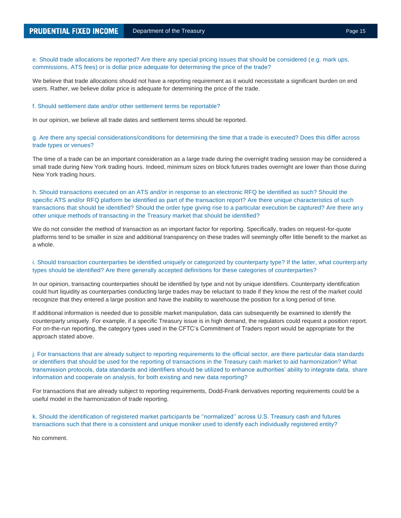e. Should trade allocations be reported? Are there any special pricing issues that should be considered (e.g. mark ups, commissions, ATS fees) or is dollar price adequate for determining the price of the trade?

We believe that trade allocations should not have a reporting requirement as it would necessitate a significant burden on end users. Rather, we believe dollar price is adequate for determining the price of the trade.

#### f. Should settlement date and/or other settlement terms be reportable?

In our opinion, we believe all trade dates and settlement terms should be reported.

g. Are there any special considerations/conditions for determining the time that a trade is executed? Does this differ across trade types or venues?

The time of a trade can be an important consideration as a large trade during the overnight trading session may be considered a small trade during New York trading hours. Indeed, minimum sizes on block futures trades overnight are lower than those during New York trading hours.

h. Should transactions executed on an ATS and/or in response to an electronic RFQ be identified as such? Should the specific ATS and/or RFQ platform be identified as part of the transaction report? Are there unique characteristics of such transactions that should be identified? Should the order type giving rise to a particular execution be captured? Are there an y other unique methods of transacting in the Treasury market that should be identified?

We do not consider the method of transaction as an important factor for reporting. Specifically, trades on request-for-quote platforms tend to be smaller in size and additional transparency on these trades will seemingly offer little benefit to the market as a whole.

## i. Should transaction counterparties be identified uniquely or categorized by counterparty type? If the latter, what counterp arty types should be identified? Are there generally accepted definitions for these categories of counterparties?

In our opinion, transacting counterparties should be identified by type and not by unique identifiers. Counterparty identification could hurt liquidity as counterparties conducting large trades may be reluctant to trade if they know the rest of the market could recognize that they entered a large position and have the inability to warehouse the position for a long period of time.

If additional information is needed due to possible market manipulation, data can subsequently be examined to identify the counterparty uniquely. For example, if a specific Treasury issue is in high demand, the regulators could request a position report. For on-the-run reporting, the category types used in the CFTC's Commitment of Traders report would be appropriate for the approach stated above.

j. For transactions that are already subject to reporting requirements to the official sector, are there particular data standards or identifiers that should be used for the reporting of transactions in the Treasury cash market to aid harmonization? What transmission protocols, data standards and identifiers should be utilized to enhance authorities' ability to integrate data, share information and cooperate on analysis, for both existing and new data reporting?

For transactions that are already subject to reporting requirements, Dodd-Frank derivatives reporting requirements could be a useful model in the harmonization of trade reporting.

k. Should the identification of registered market participants be ''normalized'' across U.S. Treasury cash and futures transactions such that there is a consistent and unique moniker used to identify each individually registered entity?

No comment.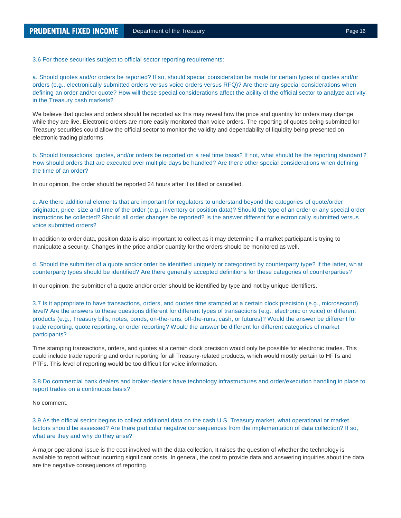3.6 For those securities subject to official sector reporting requirements:

a. Should quotes and/or orders be reported? If so, should special consideration be made for certain types of quotes and/or orders (e.g., electronically submitted orders versus voice orders versus RFQ)? Are there any special considerations when defining an order and/or quote? How will these special considerations affect the ability of the official sector to analyze acti vity in the Treasury cash markets?

We believe that quotes and orders should be reported as this may reveal how the price and quantity for orders may change while they are live. Electronic orders are more easily monitored than voice orders. The reporting of quotes being submitted for Treasury securities could allow the official sector to monitor the validity and dependability of liquidity being presented on electronic trading platforms.

b. Should transactions, quotes, and/or orders be reported on a real time basis? If not, what should be the reporting standard ? How should orders that are executed over multiple days be handled? Are there other special considerations when defining the time of an order?

In our opinion, the order should be reported 24 hours after it is filled or cancelled.

c. Are there additional elements that are important for regulators to understand beyond the categories of quote/order originator, price, size and time of the order (e.g., inventory or position data)? Should the type of an order or any special order instructions be collected? Should all order changes be reported? Is the answer different for electronically submitted versus voice submitted orders?

In addition to order data, position data is also important to collect as it may determine if a market participant is trying to manipulate a security. Changes in the price and/or quantity for the orders should be monitored as well.

d. Should the submitter of a quote and/or order be identified uniquely or categorized by counterparty type? If the latter, wh at counterparty types should be identified? Are there generally accepted definitions for these categories of counterparties?

In our opinion, the submitter of a quote and/or order should be identified by type and not by unique identifiers.

3.7 Is it appropriate to have transactions, orders, and quotes time stamped at a certain clock precision (e.g., microsecond) level? Are the answers to these questions different for different types of transactions (e.g., electronic or voice) or different products (e.g., Treasury bills, notes, bonds, on-the-runs, off-the-runs, cash, or futures)? Would the answer be different for trade reporting, quote reporting, or order reporting? Would the answer be different for different categories of market participants?

Time stamping transactions, orders, and quotes at a certain clock precision would only be possible for electronic trades. This could include trade reporting and order reporting for all Treasury-related products, which would mostly pertain to HFTs and PTFs. This level of reporting would be too difficult for voice information.

3.8 Do commercial bank dealers and broker-dealers have technology infrastructures and order/execution handling in place to report trades on a continuous basis?

No comment.

3.9 As the official sector begins to collect additional data on the cash U.S. Treasury market, what operational or market factors should be assessed? Are there particular negative consequences from the implementation of data collection? If so, what are they and why do they arise?

A major operational issue is the cost involved with the data collection. It raises the question of whether the technology is available to report without incurring significant costs. In general, the cost to provide data and answering inquiries about the data are the negative consequences of reporting.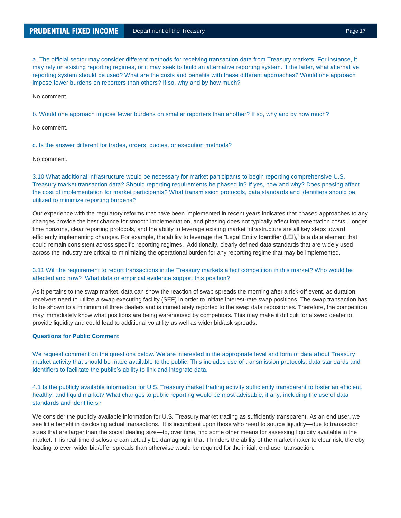a. The official sector may consider different methods for receiving transaction data from Treasury markets. For instance, it may rely on existing reporting regimes, or it may seek to build an alternative reporting system. If the latter, what alternative reporting system should be used? What are the costs and benefits with these different approaches? Would one approach impose fewer burdens on reporters than others? If so, why and by how much?

No comment.

b. Would one approach impose fewer burdens on smaller reporters than another? If so, why and by how much?

No comment.

c. Is the answer different for trades, orders, quotes, or execution methods?

No comment.

3.10 What additional infrastructure would be necessary for market participants to begin reporting comprehensive U.S. Treasury market transaction data? Should reporting requirements be phased in? If yes, how and why? Does phasing affect the cost of implementation for market participants? What transmission protocols, data standards and identifiers should be utilized to minimize reporting burdens?

Our experience with the regulatory reforms that have been implemented in recent years indicates that phased approaches to any changes provide the best chance for smooth implementation, and phasing does not typically affect implementation costs. Longer time horizons, clear reporting protocols, and the ability to leverage existing market infrastructure are all key steps toward efficiently implementing changes. For example, the ability to leverage the "Legal Entity Identifier (LEI)," is a data element that could remain consistent across specific reporting regimes. Additionally, clearly defined data standards that are widely used across the industry are critical to minimizing the operational burden for any reporting regime that may be implemented.

## 3.11 Will the requirement to report transactions in the Treasury markets affect competition in this market? Who would be affected and how? What data or empirical evidence support this position?

As it pertains to the swap market, data can show the reaction of swap spreads the morning after a risk-off event, as duration receivers need to utilize a swap executing facility (SEF) in order to initiate interest-rate swap positions. The swap transaction has to be shown to a minimum of three dealers and is immediately reported to the swap data repositories. Therefore, the competition may immediately know what positions are being warehoused by competitors. This may make it difficult for a swap dealer to provide liquidity and could lead to additional volatility as well as wider bid/ask spreads.

#### **Questions for Public Comment**

We request comment on the questions below. We are interested in the appropriate level and form of data about Treasury market activity that should be made available to the public. This includes use of transmission protocols, data standards and identifiers to facilitate the public's ability to link and integrate data.

4.1 Is the publicly available information for U.S. Treasury market trading activity sufficiently transparent to foster an efficient, healthy, and liquid market? What changes to public reporting would be most advisable, if any, including the use of data standards and identifiers?

We consider the publicly available information for U.S. Treasury market trading as sufficiently transparent. As an end user, we see little benefit in disclosing actual transactions. It is incumbent upon those who need to source liquidity—due to transaction sizes that are larger than the social dealing size—to, over time, find some other means for assessing liquidity available in the market. This real-time disclosure can actually be damaging in that it hinders the ability of the market maker to clear risk, thereby leading to even wider bid/offer spreads than otherwise would be required for the initial, end-user transaction.